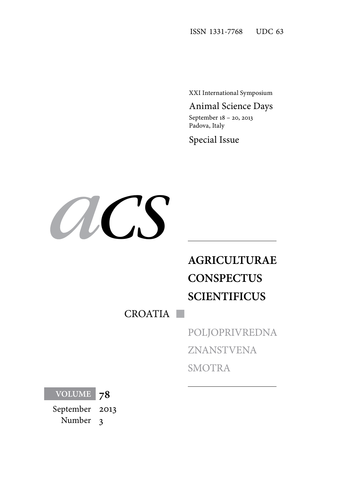XXI International Symposium

### Animal Science Days

September 18 – 20, 2013 Padova, Italy

Special Issue



# **AGRICULTURAE CONSPECTUS SCIENTIFICUS**

CROATIA

POLJOPRIVREDNA ZNANSTVENA SMOTRA



September 2013 Number 3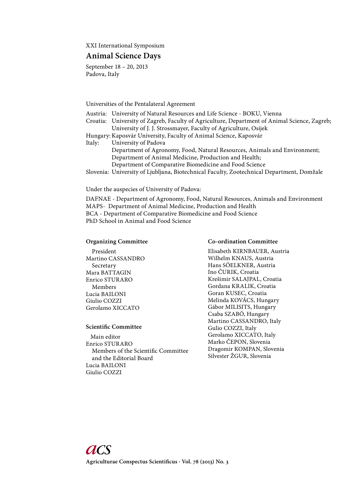XXI International Symposium

#### **Animal Science Days**

September 18 – 20, 2013 Padova, Italy

Universities of the Pentalateral Agreement

|        | Austria: University of Natural Resources and Life Science - BOKU, Vienna                     |
|--------|----------------------------------------------------------------------------------------------|
|        | Croatia: University of Zagreb, Faculty of Agriculture, Department of Animal Science, Zagreb; |
|        | University of J. J. Strossmayer, Faculty of Agriculture, Osijek                              |
|        | Hungary: Kaposvár University, Faculty of Animal Science, Kaposvár                            |
| Italy: | University of Padova                                                                         |
|        | Department of Agronomy, Food, Natural Resources, Animals and Environment;                    |
|        | Department of Animal Medicine, Production and Health;                                        |
|        | Department of Comparative Biomedicine and Food Science                                       |
|        | Slovenia: University of Ljubljana, Biotechnical Faculty, Zootechnical Department, Domžale    |
|        |                                                                                              |

Under the auspecies of University of Padova:

DAFNAE - Department of Agronomy, Food, Natural Resources, Animals and Environment MAPS- Department of Animal Medicine, Production and Health BCA - Department of Comparative Biomedicine and Food Science PhD School in Animal and Food Science

#### **Organizing Committee**

 President Martino CASSANDRO Secretary Mara BATTAGIN Enrico STURARO Members Lucia BAILONI Giulio COZZI Gerolamo XICCATO

#### **Scientific Committee**

 Main editor Enrico STURARO Members of the Scientific Committee and the Editorial Board Lucia BAILONI Giulio COZZI

#### **Co-ordination Committee**

Elisabeth KIRNBAUER, Austria Wilhelm KNAUS, Austria Hans SÖELKNER, Austria Ino ČURIK, Croatia Krešimir SALAJPAL, Croatia Gordana KRALIK, Croatia Goran KUSEC, Croatia Melinda KOVÁCS, Hungary Gábor MILISITS, Hungary Csaba SZABÓ, Hungary Martino CASSANDRO, Italy Gulio COZZI, Italy Gerolamo XICCATO, Italy Marko ČEPON, Slovenia Dragomir KOMPAN, Slovenia Silvester ŽGUR, Slovenia